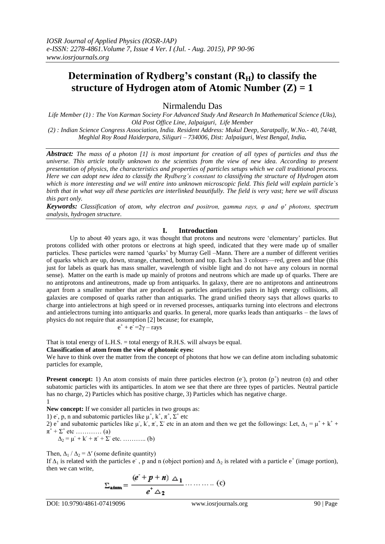# **Determination of Rydberg's constant**  $(R<sub>H</sub>)$  **to classify the structure of Hydrogen atom of Atomic Number (Z) = 1**

Nirmalendu Das

*Life Member (1) : The Von Karman Society For Advanced Study And Research In Mathematical Science (Uks), Old Post Office Line, Jalpaiguri, Life Member*

*(2) : Indian Science Congress Association, India. Resident Address: Mukul Deep, Saratpally, W.No.- 40, 74/48, Meghlal Roy Road Haiderpara, Siliguri – 734006, Dist: Jalpaiguri, West Bengal, India.*

*Abstract: The mass of a photon [1] is most important for creation of all types of particles and thus the universe. This article totally unknown to the scientists from the view of new idea. According to present presentation of physics, the characteristics and properties of particles setups which we call traditional process. Here we can adopt new idea to classify the Rydberg's constant to classifying the structure of Hydrogen atom which is more interesting and we will entire into unknown microscopic field. This field will explain particle`s birth that in what way all these particles are interlinked beautifully. The field is very vast; here we will discuss this part only.*

*Keywords: Classification of atom, why electron and positron, gamma rays, φ and φ′ photons, spectrum analysis, hydrogen structure.* 

## **I. Introduction**

Up to about 40 years ago, it was thought that protons and neutrons were ‗elementary' particles. But protons collided with other protons or electrons at high speed, indicated that they were made up of smaller particles. These particles were named 'quarks' by Murray Gell –Mann. There are a number of different verities of quarks which are up, down, strange, charmed, bottom and top. Each has 3 colours—red, green and blue (this just for labels as quark has mass smaller, wavelength of visible light and do not have any colours in normal sense). Matter on the earth is made up mainly of protons and neutrons which are made up of quarks. There are no antiprotons and antineutrons, made up from antiquarks. In galaxy, there are no antiprotons and antineutrons apart from a smaller number that are produced as particles antiparticles pairs in high energy collisions, all galaxies are composed of quarks rather than antiquarks. The grand unified theory says that allows quarks to charge into antielectrons at high speed or in reversed processes, antiquarks turning into electrons and electrons and antielectrons turning into antiquarks and quarks. In general, more quarks leads than antiquarks – the laws of physics do not require that assumption [2] because; for example,

$$
e^+ + e^- = 2\gamma - rays
$$

That is total energy of L.H.S. = total energy of R.H.S. will always be equal.

**Classification of atom from the view of photonic eyes:** 

We have to think over the matter from the concept of photons that how we can define atom including subatomic particles for example,

**Present concept:** 1) An atom consists of main three particles electron  $(e^{\cdot})$ , proton  $(p^+)$  neutron  $(n)$  and other subatomic particles with its antiparticles. In atom we see that there are three types of particles. Neutral particle has no charge, 2) Particles which has positive charge, 3) Particles which has negative charge. 1

New concept: If we consider all particles in two groups as:

1) e , p, n and subatomic particles like  $\mu^+$ ,  $k^+$ ,  $\pi^+$ ,  $\Sigma^+$  etc

2)  $e^+$  and subatomic particles like  $\mu$ ,  $\kappa$ ,  $\pi$ ,  $\Sigma$  etc in an atom and then we get the followings: Let,  $\Delta_1 = \mu^+ + \kappa^+ +$  $\pi^+$  +  $\Sigma^+$  etc ………….. (a)

 $\Delta_2 = \mu^+ + k^- + \pi^- + \Sigma^-$  etc. ……….. (b)

Then,  $\Delta_1 / \Delta_2 = \Delta'$  (some definite quantity)

If  $\Delta_1$  is related with the particles e , p and n (object portion) and  $\Delta_2$  is related with a particle e<sup>+</sup> (image portion), then we can write,

$$
\Sigma_{\text{atom}} = \frac{(e^{\epsilon} + p + n) \Delta_1}{e^{\epsilon} \Delta_2} \dots \dots \dots \dots \dots (c)
$$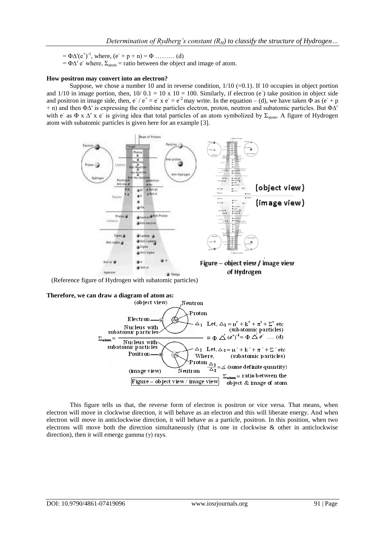$= \Phi \Delta' (e^+)^{-1}$ , where,  $(e^- + p + n) = \Phi$  ......... (d)

 $= \Phi \Delta'$  e<sup>-</sup> where,  $\Sigma_{atom}$  = ratio between the object and image of atom.

### **How positron may convert into an electron?**

Suppose, we chose a number 10 and in reverse condition,  $1/10$  (=0.1). If 10 occupies in object portion and  $1/10$  in image portion, then,  $10/0.1 = 10 \times 10 = 100$ . Similarly, if electron (e) take position in object side and positron in image side, then,  $e^-/e^+ = e^- x e^- = e^-$  may write. In the equation – (d), we have taken  $\Phi$  as ( $e^+ + p$ + n) and then Φ∆′ is expressing the combine particles electron, proton, neutron and subatomic particles. But Φ∆′ with e as Φ x Δ' x e is giving idea that total particles of an atom symbolized by Σ<sub>atom</sub>. A figure of Hydrogen atom with subatomic particles is given here for an example [3].



(Reference figure of Hydrogen with subatomic particles)



This figure tells us that, the reverse form of electron is positron or vice versa. That means, when electron will move in clockwise direction, it will behave as an electron and this will liberate energy. And when electron will move in anticlockwise direction, it will behave as a particle, positron. In this position, when two electrons will move both the direction simultaneously (that is one in clockwise & other in anticlockwise direction), then it will emerge gamma  $(γ)$  rays.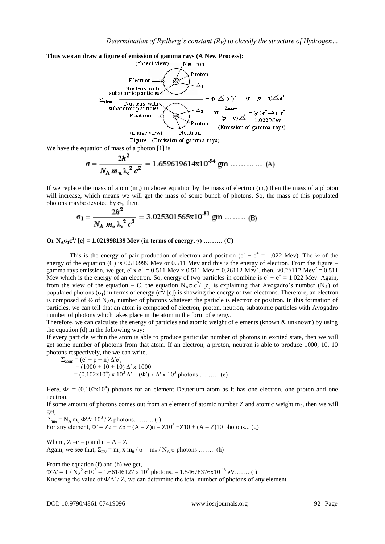

$$
\sigma = \frac{2h^2}{N_A m_u \lambda_c^2 c^2} = 1.659619614 \text{x} 10^{-54} \text{ gm} \dots \dots \dots \dots \text{ (A)}
$$

If we replace the mass of atom  $(m_u)$  in above equation by the mass of electron  $(m_e)$  then the mass of a photon will increase, which means we will get the mass of some bunch of photons. So, the mass of this populated photons maybe devoted by  $\sigma_1$ , then,

$$
\sigma_1 = \frac{2h^2}{N_A m_e \lambda_c^2 c^2} = 3.025301565 \text{ m}^{51} \text{ gm} \dots \dots \dots \text{(B)}
$$

**Or**  $N_A \sigma_1 c^2$  [e] = 1.021998139 Mev (in terms of energy, γ) ……… (C)

This is the energy of pair production of electron and positron ( $e^+ + e^+ = 1.022$  Mev). The  $\frac{1}{2}$  of the energy of the equation (C) is 0.510999 Mev or 0.511 Mev and this is the energy of electron. From the figure – gamma rays emission, we get, e<sup>+</sup> x e<sup>+</sup> = 0.511 Mev x 0.511 Mev = 0.26112 Mev<sup>2</sup>, then,  $\sqrt{0.26112 \text{ Mev}^2} = 0.511$ Mev which is the energy of an electron. So, energy of two particles in combine is  $e^+ + e^+ = 1.022$  Mev. Again, from the view of the equation – C, the equation  $N_A\sigma_1c^2$  [e] is explaining that Avogadro's number  $(N_A)$  of populated photons  $(\sigma_1)$  in terms of energy  $(c^2/ [e])$  is showing the energy of two electrons. Therefore, an electron is composed of  $\frac{1}{2}$  of N<sub>A</sub> $\sigma_1$  number of photons whatever the particle is electron or positron. In this formation of particles, we can tell that an atom is composed of electron, proton, neutron, subatomic particles with Avogadro number of photons which takes place in the atom in the form of energy.

Therefore, we can calculate the energy of particles and atomic weight of elements (known & unknown) by using the equation (d) in the following way:

If every particle within the atom is able to produce particular number of photons in excited state, then we will get some number of photons from that atom. If an electron, a proton, neutron is able to produce 1000, 10, 10 photons respectively, the we can write,

$$
\Sigma_{\text{atom}} = (e^+ p + n) \Delta' e^-,
$$
  
= (1000 + 10 + 10) \Delta' x 1000  
= (0.102x10<sup>4</sup>) x 10<sup>3</sup> \Delta' = ( $\Phi$ ) x  $\Delta'$  x 10<sup>3</sup> photons ......... (e)

Here,  $\Phi' = (0.102 \times 10^4)$  photons for an element Deuterium atom as it has one electron, one proton and one neutron.

If some amount of photons comes out from an element of atomic number  $Z$  and atomic weight m<sub>0</sub>, then we will get,

 $\Sigma_{\rm m_0} = N_{\rm A} \, {\rm m_0} \, \Phi' \Delta' \, 10^3 / Z$  photons. ........ (f) For any element,  $\Phi' = Ze + Zp + (A - Z)n = Z10^3 + Z10 + (A - Z)10$  photons... (g)

Where,  $Z = e = p$  and  $n = A - Z$ Again, we see that,  $\Sigma_{m0} = m_0 x m_u / \sigma = m_0 / N_A \sigma$  photons ........ (h)

From the equation (f) and (h) we get,  $\Phi' \Delta' = 1 / N_A^2 \sigma 10^3 = 1.66146127 \text{ x } 10^3 \text{ photons.} = 1.54678376 \text{ x } 10^{-18} \text{ eV.}$  (i) Knowing the value of  $\Phi'$  $\Delta'$  / Z, we can determine the total number of photons of any element.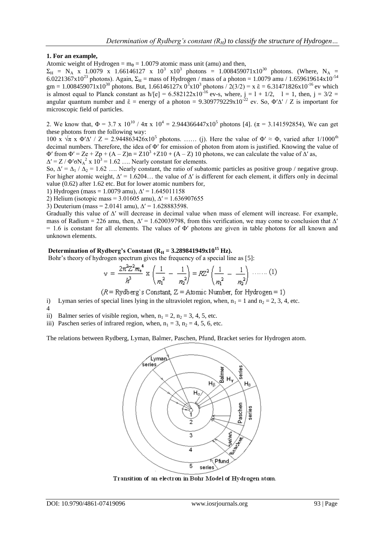## **1. For an example,**

Atomic weight of Hydrogen =  $m_0 = 1.0079$  atomic mass unit (amu) and then,

 $\Sigma_{\rm H}$  = N<sub>A</sub> x 1.0079 x 1.66146127 x 10<sup>3</sup> x10<sup>3</sup> photons = 1.008459071x10<sup>30</sup> photons. (Where, N<sub>A</sub> = 6.0221367x10<sup>23</sup> photons). Again,  $\Sigma_H =$  mass of Hydrogen / mass of a photon = 1.0079 amu / 1.659619614x10<sup>-54</sup> gm = 1.008459071x10<sup>30</sup> photons. But, 1.66146127x 0<sup>3</sup>x10<sup>3</sup> photons / 2(3/2) = x  $\bar{\epsilon}$  = 6.31471826x10<sup>-16</sup> ev which is almost equal to Planck constant as  $\hbar/[e] = 6.582122 \times 10^{-16}$  ev-s, where,  $j = 1 + 1/2$ ,  $l = 1$ , then,  $j = 3/2 =$ angular quantum number and  $\bar{\epsilon}$  = energy of a photon = 9.309779229x10<sup>-22</sup> ev. So,  $\Phi' \Delta' / Z$  is important for microscopic field of particles.

2. We know that,  $\Phi = 3.7 \times 10^{10}$  /  $4\pi \times 10^4 = 2.944366447 \times 10^5$  photons [4].  $(\pi = 3.141592854)$ , We can get these photons from the following way:

100 x  $\sqrt{\pi}$  x  $\Phi'$  / Z = 2.944863426x10<sup>5</sup> photons. ...... (j). Here the value of  $\Phi' \approx \Phi$ , varied after 1/1000<sup>th</sup> decimal numbers. Therefore, the idea of Φ′ for emission of photon from atom is justified. Knowing the value of  $\Phi'$  from  $\Phi' = Ze + Zp + (A - Z)n = Z10^3 + Z10 + (A - Z)10$  photons, we can calculate the value of  $\Delta'$  as,  $\Delta' = Z / \Phi' \sigma N_A^2$  x  $10^3 = 1.62$  .... Nearly constant for elements.

So,  $\Delta' = \Delta_1 / \Delta_2 = 1.62$  …. Nearly constant, the ratio of subatomic particles as positive group / negative group. For higher atomic weight,  $\Delta' = 1.6204...$  the value of  $\Delta'$  is different for each element, it differs only in decimal value (0.62) after 1.62 etc. But for lower atomic numbers for,

1) Hydrogen (mass = 1.0079 amu),  $\Delta' = 1.645011158$ 

2) Helium (isotopic mass = 3.01605 amu),  $\Delta' = 1.636907655$ 

3) Deuterium (mass = 2.0141 amu),  $\Delta' = 1.628883598$ .

Gradually this value of ∆′ will decrease in decimal value when mass of element will increase. For example, mass of Radium = 226 amu, then,  $\Delta' = 1.620039798$ , from this verification, we may come to conclusion that  $\Delta'$  $= 1.6$  is constant for all elements. The values of  $\Phi'$  photons are given in table photons for all known and unknown elements.

# Determination of Rydberg's Constant (R<sub>H</sub> = 3.289841949x10<sup>15</sup> Hz).

Bohr's theory of hydrogen spectrum gives the frequency of a special line as [5]:

$$
v = \frac{2\pi^2 Z^2 m_e^4}{h^3} \times \left(\frac{1}{n_1^2} - \frac{1}{n_2^2}\right) = R Z^2 \left(\frac{1}{n_1^2} - \frac{1}{n_2^2}\right) \dots \dots (1)
$$

 $(R = Rydberg's Constant, Z = Atomic Number, for Hydrogen = 1)$ 

- i) Lyman series of special lines lying in the ultraviolet region, when,  $n_1 = 1$  and  $n_2 = 2$ , 3, 4, etc. 4
- ii) Balmer series of visible region, when,  $n_1 = 2$ ,  $n_2 = 3$ , 4, 5, etc.

iii) Paschen series of infrared region, when,  $n_1 = 3$ ,  $n_2 = 4$ , 5, 6, etc.

The relations between Rydberg, Lyman, Balmer, Paschen, Pfund, Bracket series for Hydrogen atom.



Transition of an electron in Bohr Model of Hydrogen atom.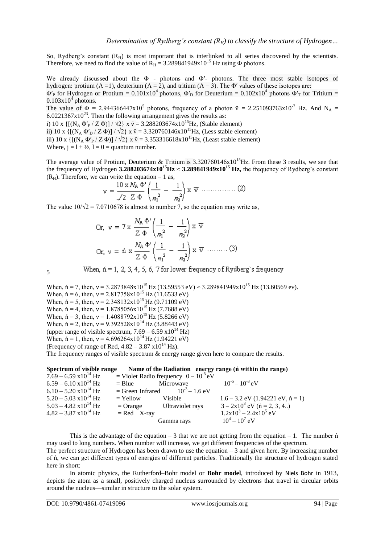So, Rydberg's constant  $(R_H)$  is most important that is interlinked to all series discovered by the scientists. Therefore, we need to find the value of  $R_H = 3.289841949x10^{15}$  Hz using  $\Phi$  photons.

We already discussed about the Φ - photons and Φ′- photons. The three most stable isotopes of hydrogen: protium (A = 1), deuterium (A = 2), and tritium (A = 3). The  $\Phi'$  values of these isotopes are:

 $\Phi'_{P}$  for Hydrogen or Protium = 0.101x10<sup>4</sup> photons,  $\Phi'_{D}$  for Deuterium = 0.102x10<sup>4</sup> photons  $\Phi'_{T}$  for Tritium =  $0.103x10<sup>4</sup>$  photons.

The value of  $\Phi = 2.944366447 \times 10^5$  photons, frequency of a photon  $\bar{v} = 2.251093763 \times 10^{-7}$  Hz. And N<sub>A</sub> =  $6.0221367x10^{23}$ . Then the following arrangement gives the results as:

i) 10 x  $\{[(N_A \Phi'_{P}/Z \Phi)] / \sqrt{2}\}$  x  $\bar{v} = 3.288203674 \times 10^{15}$  Hz, (Stable element)

ii) 10 x  $\{[(N_A \Phi'_D / Z \Phi)] / \sqrt{2}\}$  x  $\bar{v} = 3.320760146x10^{15}$  Hz, (Less stable element)

iii) 10 x { $[(N_A \Phi'_{P} / Z \Phi)]/\sqrt{2}$ } x  $\bar{v} = 3.353316618x10^{15}$ Hz, (Least stable element)

Where,  $j = 1 + \frac{1}{2}$ ,  $l = 0$  = quantum number.

The average value of Protium, Deuterium & Tritium is  $3.320760146x10^{15}$ Hz. From these 3 results, we see that the frequency of Hydrogen **3.288203674x10<sup>15</sup>Hz**  $\approx$  **3.289841949x10<sup>15</sup> Hz,** the frequency of Rydberg's constant  $(R<sub>H</sub>)$ . Therefore, we can write the equation – 1 as,

$$
v = \frac{10 \times N_{\mathsf{A}} \Phi}{\sqrt{2} \times \Phi} \left( \frac{1}{n_1^2} - \frac{1}{n_2^2} \right) \times \overline{v} \dots \dots \dots \dots (2)
$$

The value  $10/\sqrt{2} = 7.0710678$  is almost to number 7, so the equation may write as,

Or, 
$$
v = 7 \times \frac{N_A \Phi}{Z \Phi} \left( \frac{1}{n_1^2} - \frac{1}{n_2^2} \right) \times \overline{v}
$$
  
Or,  $v = \text{fi} \times \frac{N_A \Phi}{Z \Phi} \left( \frac{1}{n_1^2} - \frac{1}{n_2^2} \right) \times \overline{v}$  (3)

5

When,  $n = 1, 2, 3, 4, 5, 6, 7$  for lower frequency of Rydberg's frequency

When,  $\text{h} = 7$ , then,  $v = 3.2873848x10^{15}$  Hz (13.59553 eV)  $\approx 3.289841949x10^{15}$  Hz (13.60569 ev). When,  $\acute{n} = 6$ , then,  $v = 2.817758 \times 10^{15}$  Hz (11.6533 eV) When,  $\acute{n} = 5$ , then,  $v = 2.348132 \times 10^{15}$  Hz (9.71109 eV) When,  $\acute{n} = 4$ , then,  $v = 1.8785056x10^{15}$  Hz (7.7688 eV) When,  $\acute{n} = 3$ , then,  $v = 1.4088792 \times 10^{15}$  Hz (5.8266 eV) When,  $\acute{n} = 2$ , then,  $v = 9.392528 \times 10^{14}$  Hz (3.88443 eV) (upper range of visible spectrum,  $7.69 - 6.59 \times 10^{14}$  Hz) When,  $\acute{\text{n}} = 1$ , then,  $v = 4.696264 \times 10^{14}$  Hz (1.94221 eV) (Frequency of range of Red,  $4.82 - 3.87 \times 10^{14}$  Hz).

The frequency ranges of visible spectrum & energy range given here to compare the results.

| Spectrum of visible range       |               |                                           | Name of the Radiation energy range (n within the range) |
|---------------------------------|---------------|-------------------------------------------|---------------------------------------------------------|
| $7.69 - 6.59 \times 10^{14}$ Hz |               | = Violet Radio frequency $0 - 10^{-5}$ eV |                                                         |
| $6.59 - 6.10 \times 10^{14}$ Hz | $=$ Blue      | Microwave                                 | $10^{-5} - 10^{-3}$ eV                                  |
| $6.10 - 5.20 \times 10^{14}$ Hz |               | = Green Infrared $10^{-3} - 1.6$ eV       |                                                         |
| $5.20 - 5.03 \times 10^{14}$ Hz | $=$ Yellow    | Visible                                   | $1.6 - 3.2$ eV (1.94221 eV, $\acute{n} = 1$ )           |
| $5.03 - 4.82$ x $10^{14}$ Hz    |               | $=$ Orange Ultraviolet rays               | $3 - 2x10^{3}$ eV (n = 2, 3, 4)                         |
| $4.82 - 3.87 \times 10^{14}$ Hz | $=$ Red X-ray |                                           | $1.2x10^3 - 2.4x10^5$ eV                                |
|                                 |               | Gamma rays                                | $10^4 - 10^7$ eV                                        |

This is the advantage of the equation  $-3$  that we are not getting from the equation  $-1$ . The number  $\hat{n}$ may used to long numbers. When number will increase, we get different frequencies of the spectrum. The perfect structure of Hydrogen has been drawn to use the equation – 3 and given here. By increasing number

of ń, we can get different types of energies of different particles. Traditionally the structure of hydrogen stated here in short:

In atomic physics, the Rutherford–Bohr model or **Bohr model**, introduced by Niels Bohr in 1913, depicts the atom as a small, positively charged nucleus surrounded by electrons that travel in circular orbits around the nucleus—similar in structure to the solar system.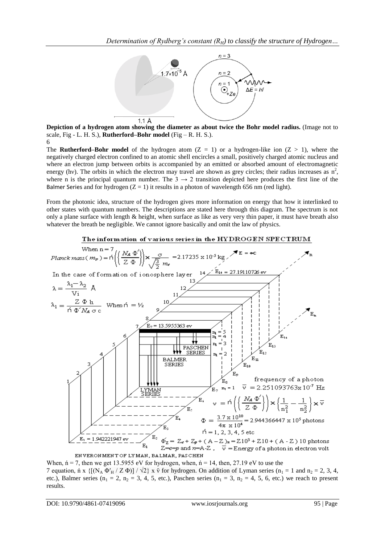

**Depiction of a hydrogen atom showing the diameter as about twice the Bohr model radius.** (Image not to scale, Fig - L. H. S.), **Rutherford–Bohr model** (Fig – R. H. S.).

6

The **Rutherford–Bohr model** of the hydrogen atom  $(Z = 1)$  or a hydrogen-like ion  $(Z > 1)$ , where the negatively charged electron confined to an atomic shell encircles a small, positively charged atomic nucleus and where an electron jump between orbits is accompanied by an emitted or absorbed amount of electromagnetic energy (hv). The orbits in which the electron may travel are shown as grey circles; their radius increases as  $n^2$ , where n is the principal quantum number. The  $3 \rightarrow 2$  transition depicted here produces the first line of the Balmer Series and for hydrogen  $(Z = 1)$  it results in a photon of wavelength 656 nm (red light).

From the photonic idea, structure of the hydrogen gives more information on energy that how it interlinked to other states with quantum numbers. The descriptions are stated here through this diagram. The spectrum is not only a plane surface with length & height, when surface as like as very very thin paper, it must have breath also whatever the breath be negligible. We cannot ignore basically and omit the law of physics.

# The information of various series in the HYDROGEN SPECTRUM



When,  $\acute{n}$  = 7, then we get 13.5955 eV for hydrogen, when,  $\acute{n}$  = 14, then, 27.19 eV to use the 7 equation, n x { $[(N_A \Phi'_{H} / Z \Phi)] / \sqrt{2}$ } x  $\bar{v}$  for hydrogen. On addition of Lyman series (n<sub>1</sub> = 1 and n<sub>2</sub> = 2, 3, 4, etc.), Balmer series ( $n_1 = 2$ ,  $n_2 = 3$ , 4, 5, etc.), Paschen series ( $n_1 = 3$ ,  $n_2 = 4$ , 5, 6, etc.) we reach to present results.